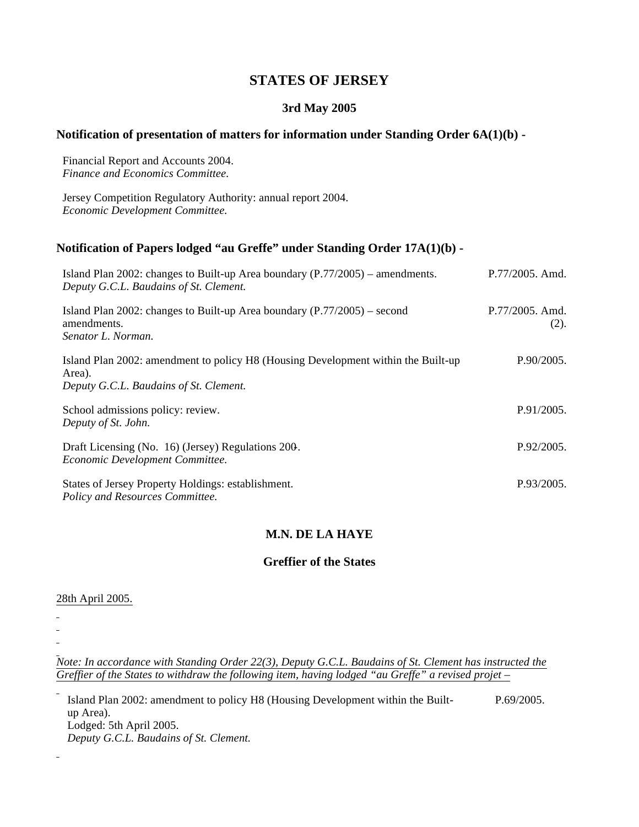# **STATES OF JERSEY**

### **3rd May 2005**

## **Notification of presentation of matters for information under Standing Order 6A(1)(b) -**

Financial Report and Accounts 2004. *Finance and Economics Committee.*

Jersey Competition Regulatory Authority: annual report 2004. *Economic Development Committee.*

# **Notification of Papers lodged "au Greffe" under Standing Order 17A(1)(b) -**

| Island Plan 2002: changes to Built-up Area boundary (P.77/2005) – amendments.<br>Deputy G.C.L. Baudains of St. Clement.               | P.77/2005. Amd.         |
|---------------------------------------------------------------------------------------------------------------------------------------|-------------------------|
| Island Plan 2002: changes to Built-up Area boundary $(P.77/2005)$ – second<br>amendments.<br>Senator L. Norman.                       | P.77/2005. Amd.<br>(2). |
| Island Plan 2002: amendment to policy H8 (Housing Development within the Built-up<br>Area).<br>Deputy G.C.L. Baudains of St. Clement. | P.90/2005.              |
| School admissions policy: review.<br>Deputy of St. John.                                                                              | P.91/2005.              |
| Draft Licensing (No. 16) (Jersey) Regulations 200.<br>Economic Development Committee.                                                 | P.92/2005.              |
| States of Jersey Property Holdings: establishment.<br>Policy and Resources Committee.                                                 | P.93/2005.              |

## **M.N. DE LA HAYE**

#### **Greffier of the States**

#### 28th April 2005.

 $\overline{a}$ 

*Note: In accordance with Standing Order 22(3), Deputy G.C.L. Baudains of St. Clement has instructed the Greffier of the States to withdraw the following item, having lodged "au Greffe" a revised projet –*

Island Plan 2002: amendment to policy H8 (Housing Development within the Builtup Area). Lodged: 5th April 2005. *Deputy G.C.L. Baudains of St. Clement.* P.69/2005.